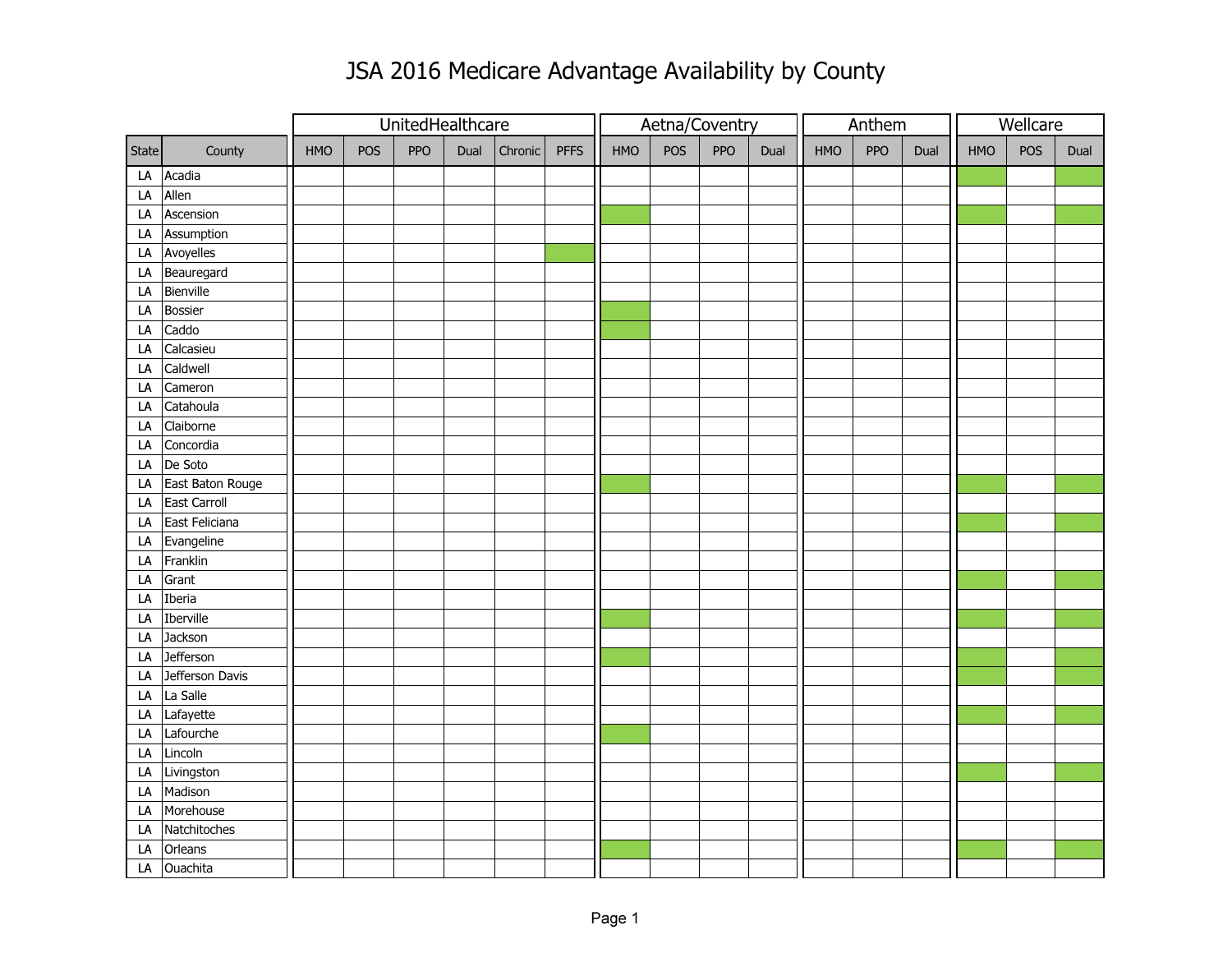## JSA 2016 Medicare Advantage Availability by County

|       |                  |     |     | UnitedHealthcare |      |         |             |     | Aetna/Coventry |     |      |     | Anthem     |      |     | Wellcare |      |  |
|-------|------------------|-----|-----|------------------|------|---------|-------------|-----|----------------|-----|------|-----|------------|------|-----|----------|------|--|
| State | County           | HMO | POS | PPO              | Dual | Chronic | <b>PFFS</b> | HMO | POS            | PPO | Dual | HMO | <b>PPO</b> | Dual | HMO | POS      | Dual |  |
| LA    | Acadia           |     |     |                  |      |         |             |     |                |     |      |     |            |      |     |          |      |  |
| LA    | Allen            |     |     |                  |      |         |             |     |                |     |      |     |            |      |     |          |      |  |
| LA    | Ascension        |     |     |                  |      |         |             |     |                |     |      |     |            |      |     |          |      |  |
| LA    | Assumption       |     |     |                  |      |         |             |     |                |     |      |     |            |      |     |          |      |  |
| LA    | Avoyelles        |     |     |                  |      |         |             |     |                |     |      |     |            |      |     |          |      |  |
| LA    | Beauregard       |     |     |                  |      |         |             |     |                |     |      |     |            |      |     |          |      |  |
| LA    | Bienville        |     |     |                  |      |         |             |     |                |     |      |     |            |      |     |          |      |  |
| LA    | <b>Bossier</b>   |     |     |                  |      |         |             |     |                |     |      |     |            |      |     |          |      |  |
| LA    | Caddo            |     |     |                  |      |         |             |     |                |     |      |     |            |      |     |          |      |  |
| LA    | Calcasieu        |     |     |                  |      |         |             |     |                |     |      |     |            |      |     |          |      |  |
| LA    | Caldwell         |     |     |                  |      |         |             |     |                |     |      |     |            |      |     |          |      |  |
| LA    | Cameron          |     |     |                  |      |         |             |     |                |     |      |     |            |      |     |          |      |  |
| LA    | Catahoula        |     |     |                  |      |         |             |     |                |     |      |     |            |      |     |          |      |  |
| LA    | Claiborne        |     |     |                  |      |         |             |     |                |     |      |     |            |      |     |          |      |  |
| LA    | Concordia        |     |     |                  |      |         |             |     |                |     |      |     |            |      |     |          |      |  |
| LA    | De Soto          |     |     |                  |      |         |             |     |                |     |      |     |            |      |     |          |      |  |
| LA    | East Baton Rouge |     |     |                  |      |         |             |     |                |     |      |     |            |      |     |          |      |  |
| LA    | East Carroll     |     |     |                  |      |         |             |     |                |     |      |     |            |      |     |          |      |  |
| LA    | East Feliciana   |     |     |                  |      |         |             |     |                |     |      |     |            |      |     |          |      |  |
| LA    | Evangeline       |     |     |                  |      |         |             |     |                |     |      |     |            |      |     |          |      |  |
| LA    | Franklin         |     |     |                  |      |         |             |     |                |     |      |     |            |      |     |          |      |  |
| LA    | Grant            |     |     |                  |      |         |             |     |                |     |      |     |            |      |     |          |      |  |
| LA    | Iberia           |     |     |                  |      |         |             |     |                |     |      |     |            |      |     |          |      |  |
| LA    | Iberville        |     |     |                  |      |         |             |     |                |     |      |     |            |      |     |          |      |  |
| LA    | Jackson          |     |     |                  |      |         |             |     |                |     |      |     |            |      |     |          |      |  |
| LA    | <b>Jefferson</b> |     |     |                  |      |         |             |     |                |     |      |     |            |      |     |          |      |  |
| LA    | Jefferson Davis  |     |     |                  |      |         |             |     |                |     |      |     |            |      |     |          |      |  |
| LA    | La Salle         |     |     |                  |      |         |             |     |                |     |      |     |            |      |     |          |      |  |
| LA    | Lafayette        |     |     |                  |      |         |             |     |                |     |      |     |            |      |     |          |      |  |
| LA    | Lafourche        |     |     |                  |      |         |             |     |                |     |      |     |            |      |     |          |      |  |
| LA    | Lincoln          |     |     |                  |      |         |             |     |                |     |      |     |            |      |     |          |      |  |
| LA    | Livingston       |     |     |                  |      |         |             |     |                |     |      |     |            |      |     |          |      |  |
| LA    | Madison          |     |     |                  |      |         |             |     |                |     |      |     |            |      |     |          |      |  |
| LA    | Morehouse        |     |     |                  |      |         |             |     |                |     |      |     |            |      |     |          |      |  |
| LA    | Natchitoches     |     |     |                  |      |         |             |     |                |     |      |     |            |      |     |          |      |  |
| LA    | Orleans          |     |     |                  |      |         |             |     |                |     |      |     |            |      |     |          |      |  |
| LA    | Ouachita         |     |     |                  |      |         |             |     |                |     |      |     |            |      |     |          |      |  |